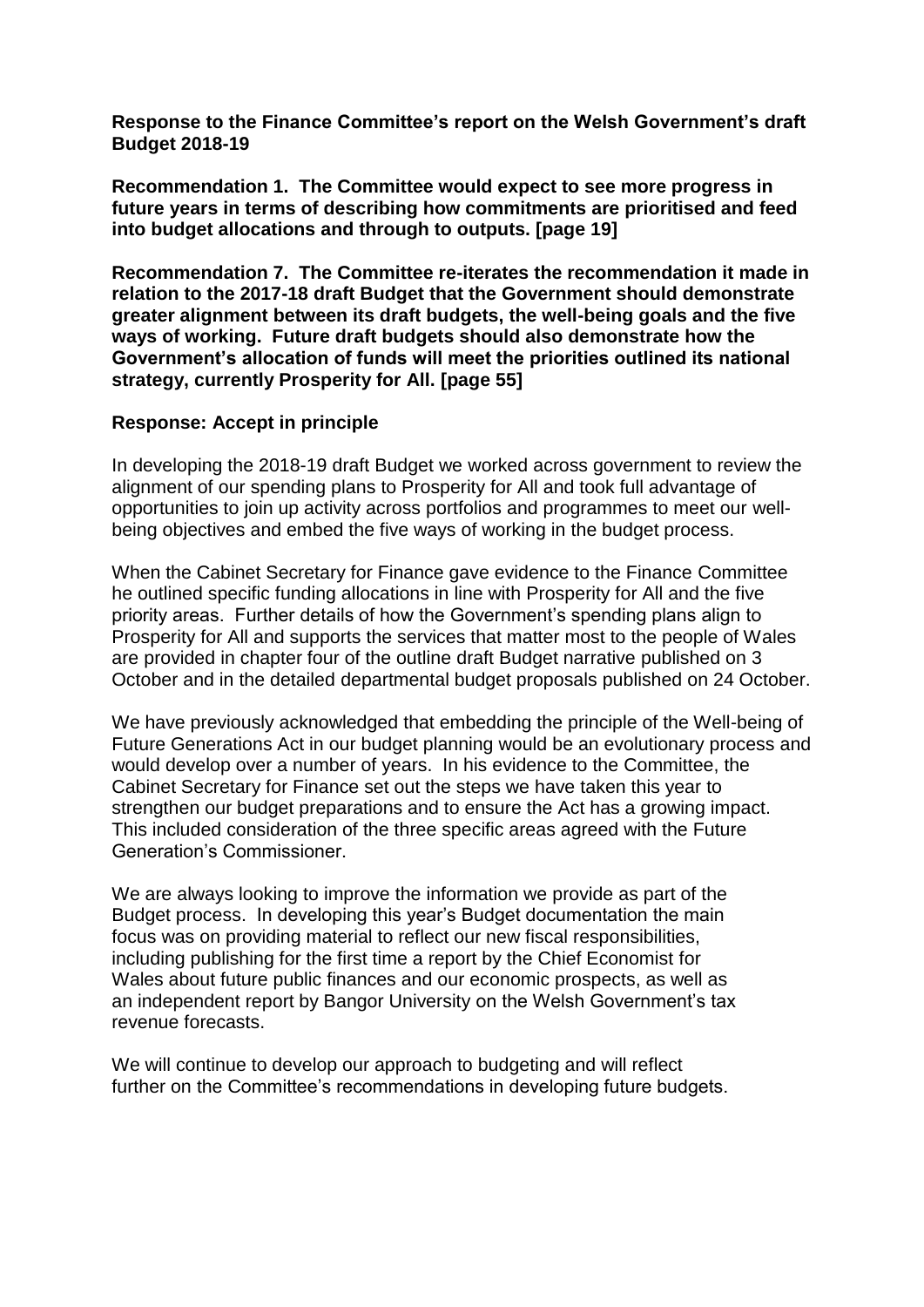**Response to the Finance Committee's report on the Welsh Government's draft Budget 2018-19**

**Recommendation 1. The Committee would expect to see more progress in future years in terms of describing how commitments are prioritised and feed into budget allocations and through to outputs. [page 19]**

**Recommendation 7. The Committee re-iterates the recommendation it made in relation to the 2017-18 draft Budget that the Government should demonstrate greater alignment between its draft budgets, the well-being goals and the five ways of working. Future draft budgets should also demonstrate how the Government's allocation of funds will meet the priorities outlined its national strategy, currently Prosperity for All. [page 55]**

#### **Response: Accept in principle**

In developing the 2018-19 draft Budget we worked across government to review the alignment of our spending plans to Prosperity for All and took full advantage of opportunities to join up activity across portfolios and programmes to meet our wellbeing objectives and embed the five ways of working in the budget process.

When the Cabinet Secretary for Finance gave evidence to the Finance Committee he outlined specific funding allocations in line with Prosperity for All and the five priority areas. Further details of how the Government's spending plans align to Prosperity for All and supports the services that matter most to the people of Wales are provided in chapter four of the outline draft Budget narrative published on 3 October and in the detailed departmental budget proposals published on 24 October.

We have previously acknowledged that embedding the principle of the Well-being of Future Generations Act in our budget planning would be an evolutionary process and would develop over a number of years. In his evidence to the Committee, the Cabinet Secretary for Finance set out the steps we have taken this year to strengthen our budget preparations and to ensure the Act has a growing impact. This included consideration of the three specific areas agreed with the Future Generation's Commissioner.

We are always looking to improve the information we provide as part of the Budget process. In developing this year's Budget documentation the main focus was on providing material to reflect our new fiscal responsibilities, including publishing for the first time a report by the Chief Economist for Wales about future public finances and our economic prospects, as well as an independent report by Bangor University on the Welsh Government's tax revenue forecasts.

We will continue to develop our approach to budgeting and will reflect further on the Committee's recommendations in developing future budgets.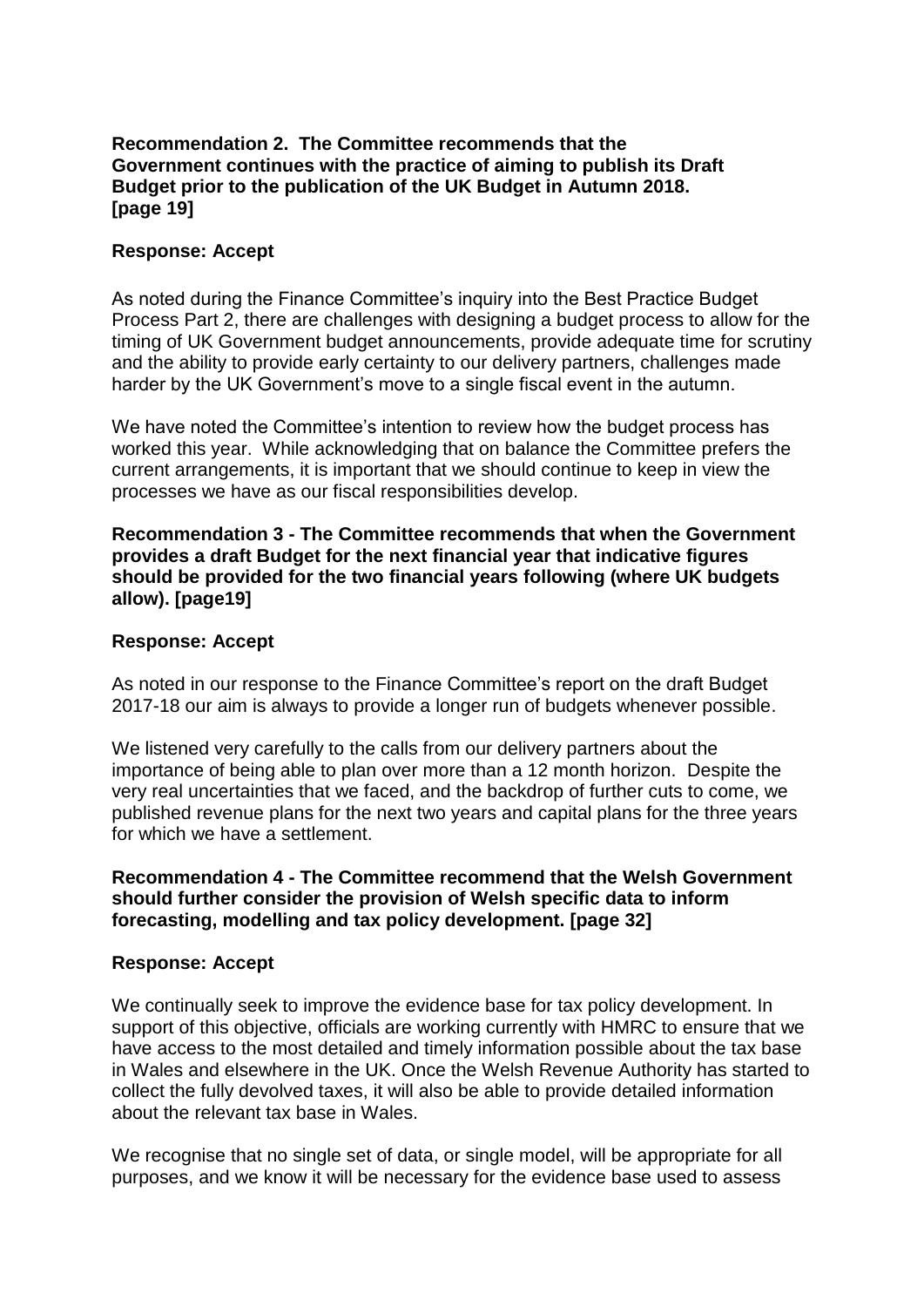# **Recommendation 2. The Committee recommends that the Government continues with the practice of aiming to publish its Draft Budget prior to the publication of the UK Budget in Autumn 2018. [page 19]**

# **Response: Accept**

As noted during the Finance Committee's inquiry into the Best Practice Budget Process Part 2, there are challenges with designing a budget process to allow for the timing of UK Government budget announcements, provide adequate time for scrutiny and the ability to provide early certainty to our delivery partners, challenges made harder by the UK Government's move to a single fiscal event in the autumn.

We have noted the Committee's intention to review how the budget process has worked this year. While acknowledging that on balance the Committee prefers the current arrangements, it is important that we should continue to keep in view the processes we have as our fiscal responsibilities develop.

**Recommendation 3 - The Committee recommends that when the Government provides a draft Budget for the next financial year that indicative figures should be provided for the two financial years following (where UK budgets allow). [page19]**

## **Response: Accept**

As noted in our response to the Finance Committee's report on the draft Budget 2017-18 our aim is always to provide a longer run of budgets whenever possible.

We listened very carefully to the calls from our delivery partners about the importance of being able to plan over more than a 12 month horizon. Despite the very real uncertainties that we faced, and the backdrop of further cuts to come, we published revenue plans for the next two years and capital plans for the three years for which we have a settlement.

## **Recommendation 4 - The Committee recommend that the Welsh Government should further consider the provision of Welsh specific data to inform forecasting, modelling and tax policy development. [page 32]**

#### **Response: Accept**

We continually seek to improve the evidence base for tax policy development. In support of this objective, officials are working currently with HMRC to ensure that we have access to the most detailed and timely information possible about the tax base in Wales and elsewhere in the UK. Once the Welsh Revenue Authority has started to collect the fully devolved taxes, it will also be able to provide detailed information about the relevant tax base in Wales.

We recognise that no single set of data, or single model, will be appropriate for all purposes, and we know it will be necessary for the evidence base used to assess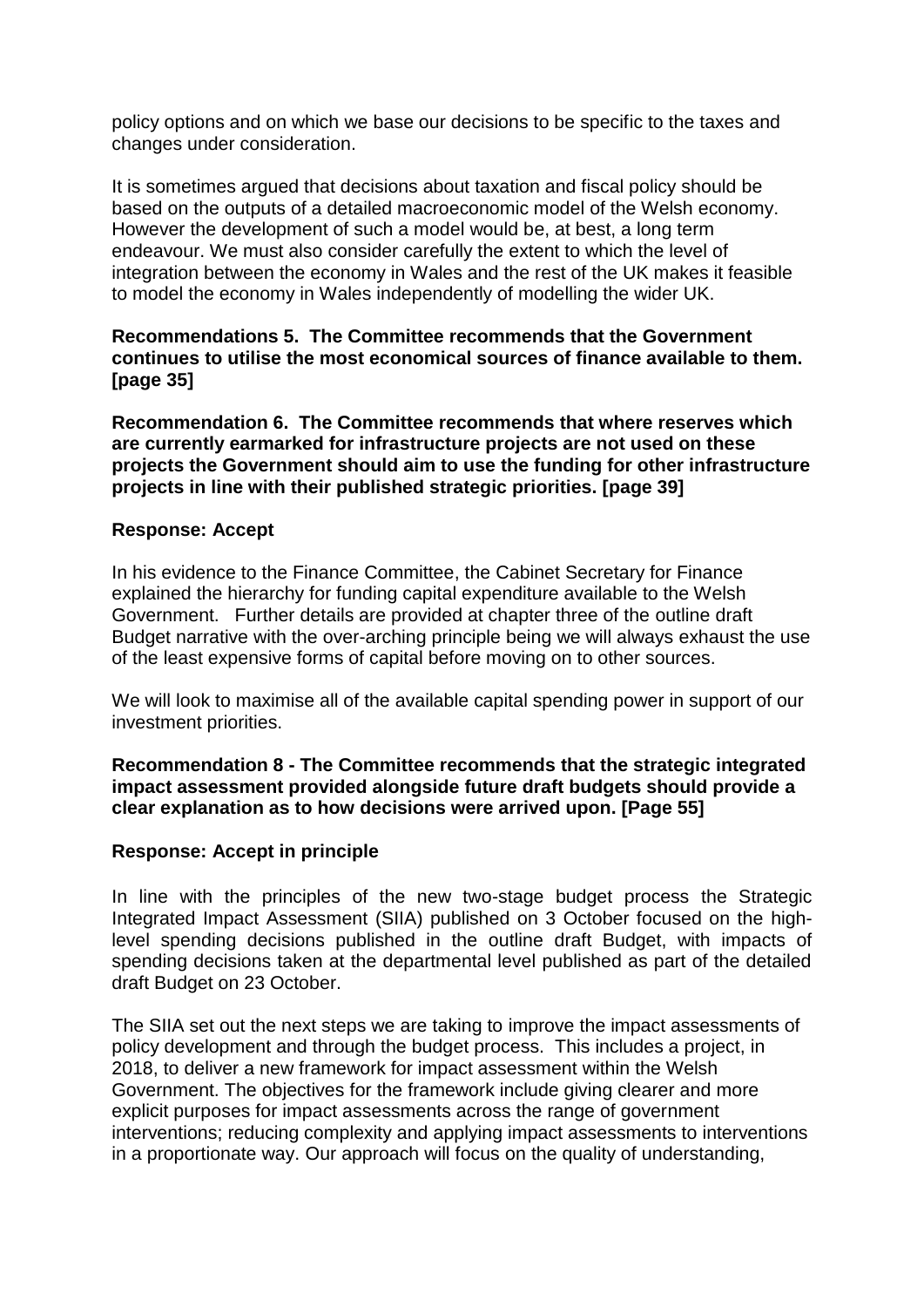policy options and on which we base our decisions to be specific to the taxes and changes under consideration.

It is sometimes argued that decisions about taxation and fiscal policy should be based on the outputs of a detailed macroeconomic model of the Welsh economy. However the development of such a model would be, at best, a long term endeavour. We must also consider carefully the extent to which the level of integration between the economy in Wales and the rest of the UK makes it feasible to model the economy in Wales independently of modelling the wider UK.

**Recommendations 5. The Committee recommends that the Government continues to utilise the most economical sources of finance available to them. [page 35]**

**Recommendation 6. The Committee recommends that where reserves which are currently earmarked for infrastructure projects are not used on these projects the Government should aim to use the funding for other infrastructure projects in line with their published strategic priorities. [page 39]** 

## **Response: Accept**

In his evidence to the Finance Committee, the Cabinet Secretary for Finance explained the hierarchy for funding capital expenditure available to the Welsh Government. Further details are provided at chapter three of the outline draft Budget narrative with the over-arching principle being we will always exhaust the use of the least expensive forms of capital before moving on to other sources.

We will look to maximise all of the available capital spending power in support of our investment priorities.

## **Recommendation 8 - The Committee recommends that the strategic integrated impact assessment provided alongside future draft budgets should provide a clear explanation as to how decisions were arrived upon. [Page 55]**

#### **Response: Accept in principle**

In line with the principles of the new two-stage budget process the Strategic Integrated Impact Assessment (SIIA) published on 3 October focused on the highlevel spending decisions published in the outline draft Budget, with impacts of spending decisions taken at the departmental level published as part of the detailed draft Budget on 23 October.

The SIIA set out the next steps we are taking to improve the impact assessments of policy development and through the budget process. This includes a project, in 2018, to deliver a new framework for impact assessment within the Welsh Government. The objectives for the framework include giving clearer and more explicit purposes for impact assessments across the range of government interventions; reducing complexity and applying impact assessments to interventions in a proportionate way. Our approach will focus on the quality of understanding,